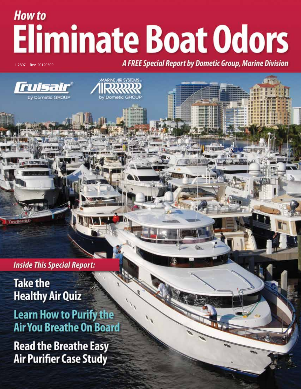# **How to Eliminate Boat Odors**

RINE AIR SYSTEMS

L-2807 Rev. 20120309

**A FREE Special Report by Dometic Group, Marine Division** 



**Inside This Special Report:** 

**Take the Healthy Air Quiz** 

**Learn How to Purify the Air You Breathe On Board** 

**Read the Breathe Easy Air Purifier Case Study**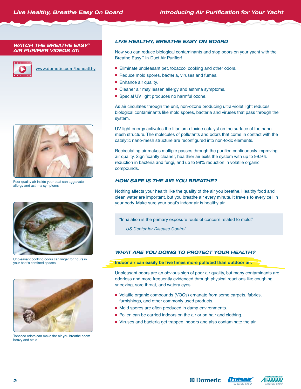*WATCH THE BREATHE EASY™ AIR PURIFIER VIDEOS AT:*



www.dometic.com/behealthy



Poor quality air inside your boat can aggravate allergy and asthma symptoms



Unpleasant cooking odors can linger for hours in your boat's confined spaces



Tobacco odors can make the air you breathe seem heavy and stale

#### *LIVE HEALTHY, BREATHE EASY ON BOARD*

Now you can reduce biological contaminants and stop odors on your yacht with the Breathe Easy™ In-Duct Air Purifier!

- Eliminate unpleasant pet, tobacco, cooking and other odors.
- Reduce mold spores, bacteria, viruses and fumes.
- Enhance air quality.
- Cleaner air may lessen allergy and asthma symptoms.
- Special UV light produces no harmful ozone.

As air circulates through the unit, non-ozone producing ultra-violet light reduces biological contaminants like mold spores, bacteria and viruses that pass through the system.

UV light energy activates the titanium-dioxide catalyst on the surface of the nanomesh structure. The molecules of pollutants and odors that come in contact with the catalytic nano-mesh structure are reconfigured into non-toxic elements.

Recirculating air makes multiple passes through the purifier, continuously improving air quality. Significantly cleaner, healthier air exits the system with up to 99.9% reduction in bacteria and fungi, and up to 98% reduction in volatile organic compounds.

#### *HOW SAFE IS THE AIR YOU BREATHE?*

Nothing affects your health like the quality of the air you breathe. Healthy food and clean water are important, but you breathe air every minute. It travels to every cell in your body. Make sure your boat's indoor air is healthy air.

"Inhalation is the primary exposure route of concern related to mold."

*— US Center for Disease Control* 

#### *WHAT ARE YOU DOING TO PROTECT YOUR HEALTH?*

**Indoor air can easily be five times more polluted than outdoor air.**

Unpleasant odors are an obvious sign of poor air quality, but many contaminants are odorless and more frequently evidenced through physical reactions like coughing, sneezing, sore throat, and watery eyes.

- Volatile organic compounds (VOCs) emanate from some carpets, fabrics, furnishings, and other commonly used products.
- Mold spores are often produced in damp environments.
- Pollen can be carried indoors on the air or on hair and clothing.
- Viruses and bacteria get trapped indoors and also contaminate the air.



*<sup>ID</sup> Dometic* 

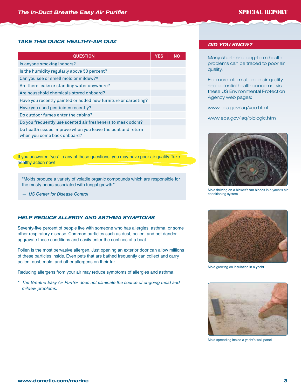#### *TAKE THIS QUICK HEALTHY-AIR QUIZ*

| <b>QUESTION</b>                                                                            | <b>YES</b> | <b>NO</b> |
|--------------------------------------------------------------------------------------------|------------|-----------|
| Is anyone smoking indoors?                                                                 |            |           |
| Is the humidity regularly above 50 percent?                                                |            |           |
| Can you see or smell mold or mildew?*                                                      |            |           |
| Are there leaks or standing water anywhere?                                                |            |           |
| Are household chemicals stored onboard?                                                    |            |           |
| Have you recently painted or added new furniture or carpeting?                             |            |           |
| Have you used pesticides recently?                                                         |            |           |
| Do outdoor fumes enter the cabins?                                                         |            |           |
| Do you frequently use scented air fresheners to mask odors?                                |            |           |
| Do health issues improve when you leave the boat and return<br>when you come back onboard? |            |           |

If you answered "yes" to any of these questions, you may have poor air quality. Take healthy action now!

"Molds produce a variety of volatile organic compounds which are responsible for the musty odors associated with fungal growth."

*— US Center for Disease Control* 

#### *HELP REDUCE ALLERGY AND ASTHMA SYMPTOMS*

Seventy-five percent of people live with someone who has allergies, asthma, or some other respiratory disease. Common particles such as dust, pollen, and pet dander aggravate these conditions and easily enter the confines of a boat.

Pollen is the most pervasive allergen. Just opening an exterior door can allow millions of these particles inside. Even pets that are bathed frequently can collect and carry pollen, dust, mold, and other allergens on their fur.

Reducing allergens from your air may reduce symptoms of allergies and asthma.

 *\* The Breathe Easy Air Purifier does not eliminate the source of ongoing mold and mildew problems.*

#### *DID YOU KNOW?*

Many short- and long-term health problems can be traced to poor air quality.

For more information on air quality and potential health concerns, visit these US Environmental Protection Agency web pages:

www.epa.gov/iaq/voc.html

www.epa.gov/iaq/biologic.html



Mold thriving on a blower's fan blades in a yacht's air conditioning system



Mold growing on insulation in a yacht



Mold spreading inside a yacht's wall panel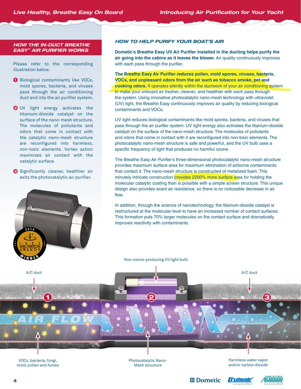#### *HOW THE IN-DUCT BREATHE EASY™ AIR PURIFIER WORKS*

Please refer to the corresponding illustration below.

- **O** Biological contaminants like VOCs, mold spores, bacteria, and viruses pass through the air conditioning duct and into the air purifier system.
- **2** UV light energy activates the titanium-dioxide catalyst on the surface of the nano-mesh structure. The molecules of pollutants and odors that come in contact with the catalytic nano-mesh structure are reconfigured into harmless, non-toxic elements. Vortex action maximizes air contact with the catalytic surface.
- **S** Significantly cleaner, healthier air exits the photocatalytic air purifier.



#### *HOW TO HELP PURIFY YOUR BOAT'S AIR*

**Dometic's Breathe Easy UV Air Purifier installed in the ducting helps purify the air going into the cabins as it leaves the blower.** Air quality continuously improves with each pass through the purifier.

**The Breathe Easy Air Purifier reduces pollen, mold spores, viruses, bacteria, VOCs, and unpleasant odors from the air such as tobacco smoke, pet and cooking odors.** It operates silently within the ductwork of your air conditioning system to make your onboard air fresher, cleaner, and healthier with each pass through the system. Using innovative photocatalytic nano-mesh technology with ultraviolet (UV) light, the Breathe Easy continuously improves air quality by reducing biological contaminants and VOCs.

UV light reduces biological contaminants like mold spores, bacteria, and viruses that pass through the air purifier system. UV light energy also activates the titanium-dioxide catalyst on the surface of the nano-mesh structure. The molecules of pollutants and odors that come in contact with it are reconfigured into non-toxic elements. The photocatalytic nano-mesh structure is safe and powerful, and the UV bulb uses a specific frequency of light that produces no harmful ozone.

The Breathe Easy Air Purifier's three-dimensional photocatalytic nano-mesh structure provides maximum surface area for maximum elimination of airborne contaminants that contact it. The nano-mesh structure is constructed of metalized foam. This minutely intricate construction provides 2200% more surface area for holding the molecular catalytic coating than is possible with a simple screen structure. This unique design also provides scant air resistance, so there is no noticeable decrease in air flow.

In addition, through the science of nanotechnology, the titanium-dioxide catalyst is restructured at the molecular level to have an increased number of contact surfaces. This formation puts 70% larger molecules on the contact surface and dramatically improves reactivity with contaminants.

Non-ozone-producing UV light bulb

A/C duct A/C duct A/C duct A/C duct A/C duct A/C duct A/C duct A/C duct A/C duct A/C duct A/C duct A/C duct A/C duct

VOCs, bacteria, fungi, mold, pollen and fumes Photocatalytic Nano-Mesh structure

Harmless water vapor and/or carbon dioxide

*<sup>ID</sup> Dometic* 

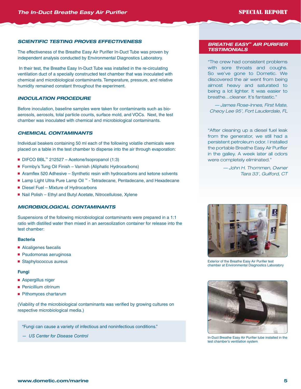#### *SCIENTIFIC TESTING PROVES EFFECTIVENESS*

The effectiveness of the Breathe Easy Air Purifier In-Duct Tube was proven by independent analysis conducted by Environmental Diagnostics Laboratory.

 In their test, the Breathe Easy In-Duct Tube was installed in the re-circulating ventilation duct of a specially constructed test chamber that was inoculated with chemical and microbiological contaminants. Temperature, pressure, and relative humidity remained constant throughout the experiment.

#### *INOCULATION PROCEDURE*

Before inoculation, baseline samples were taken for contaminants such as bioaerosols, aerosols, total particle counts, surface mold, and VOCs. Next, the test chamber was inoculated with chemical and microbiological contaminants.

#### *CHEMICAL CONTAMINANTS*

Individual beakers containing 50 ml each of the following volatile chemicals were placed on a table in the test chamber to disperse into the air through evaporation:

- DIFCO BBL<sup>™</sup> 212527 Acetone/Isopropanol (1:3)
- Formby's Tung Oil Finish Varnish (Aliphatic Hydrocarbons)
- Aramflex 520 Adhesive Synthetic resin with hydrocarbons and ketone solvents
- Lamp Light Ultra Pure Lamp Oil ™ Tetradecane, Pentadecane, and Hexadecane
- Diesel Fuel Mixture of Hydrocarbons
- Nail Polish Ethyl and Butyl Acetate, Nitrocellulose, Xylene

#### *MICROBIOLOGICAL CONTAMINANTS*

Suspensions of the following microbiological contaminants were prepared in a 1:1 ratio with distilled water then mixed in an aerosolization container for release into the test chamber:

#### **Bacteria**

- Alcaligenes faecalis
- Psudomonas aeruginosa
- Staphylococcus aureus

#### **Fungi**

- Aspergillus niger
- Penicillium citrinum
- Pithomyces chartarum

(Viability of the microbiological contaminants was verified by growing cultures on respective microbiological media.)

"Fungi can cause a variety of infectious and noninfectious conditions."

*— US Center for Disease Control* 

#### *BREATHE EASY™ AIR PURIFIER TESTIMONIALS*

"The crew had consistent problems with sore throats and coughs. So we've gone to Dometic. We discovered the air went from being almost heavy and saturated to being a lot lighter. It was easier to breathe…cleaner. It's fantastic."

*— James Rose-Innes, First Mate, Cheoy Lee 95', Fort Lauderdale, FL*

"After cleaning up a diesel fuel leak from the generator, we still had a persistent petroleum odor. I installed the portable Breathe Easy Air Purifier in the galley. A week later all odors were completely eliminated."

> *— John H. Thommen, Owner Tiara 33', Guilford, CT*



Exterior of the Breathe Easy Air Purifier test chamber at Environmental Diagnostics Laboratory



In-Duct Breathe Easy Air Purifier tube installed in the test chamber's ventilation system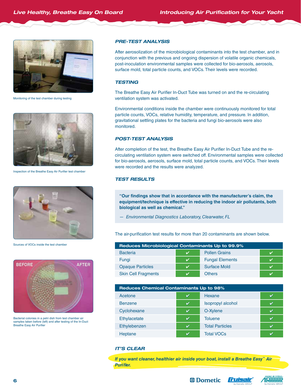

Monitoring of the test chamber during testing



Inspection of the Breathe Easy Air Purifier test chamber



Sources of VOCs inside the test chamber



Bacterial colonies in a petri dish from test chamber air samples taken before (left) and after testing of the In-Duct Breathe Easy Air Purifier

#### *PRE-TEST ANALYSIS*

After aerosolization of the microbiological contaminants into the test chamber, and in conjunction with the previous and ongoing dispersion of volatile organic chemicals, post-inoculation environmental samples were collected for bio-aerosols, aerosols, surface mold, total particle counts, and VOCs. Their levels were recorded.

#### *TESTING*

The Breathe Easy Air Purifier In-Duct Tube was turned on and the re-circulating ventilation system was activated.

Environmental conditions inside the chamber were continuously monitored for total particle counts, VOCs, relative humidity, temperature, and pressure. In addition, gravitational settling plates for the bacteria and fungi bio-aerosols were also monitored.

#### *POST-TEST ANALYSIS*

After completion of the test, the Breathe Easy Air Purifier In-Duct Tube and the recirculating ventilation system were switched off. Environmental samples were collected for bio-aerosols, aerosols, surface mold, total particle counts, and VOCs. Their levels were recorded and the results were analyzed.

#### *TEST RESULTS*

**"Our findings show that in accordance with the manufacturer's claim, the equipment/technique is effective in reducing the indoor air pollutants, both biological as well as chemical."**

*— Environmental Diagnostics Laboratory, Clearwater, FL*

The air-purification test results for more than 20 contaminants are shown below.

| <b>Reduces Microbiological Contaminants Up to 99.9%</b> |   |                        |  |  |  |
|---------------------------------------------------------|---|------------------------|--|--|--|
| <b>Bacteria</b>                                         | ✓ | <b>Pollen Grains</b>   |  |  |  |
| Fungi                                                   | ✓ | <b>Fungal Elements</b> |  |  |  |
| <b>Opaque Particles</b>                                 | ✓ | <b>Surface Mold</b>    |  |  |  |
| <b>Skin Cell Fragments</b>                              |   | <b>Others</b>          |  |  |  |

| <b>Reduces Chemical Contaminants Up to 98%</b> |                            |                          |  |  |  |
|------------------------------------------------|----------------------------|--------------------------|--|--|--|
| Acetone                                        | ✓                          | Hexane                   |  |  |  |
| <b>Benzene</b>                                 | V                          | <b>Isopropyl alcohol</b> |  |  |  |
| Cyclohexane                                    | $\boldsymbol{\mathcal{U}}$ | O-Xylene                 |  |  |  |
| Ethylacetate                                   | $\boldsymbol{\nu}$         | <b>Toluene</b>           |  |  |  |
| Ethylebenzen                                   | ✓                          | <b>Total Particles</b>   |  |  |  |
| Heptane                                        | ✓                          | <b>Total VOCs</b>        |  |  |  |

#### *IT'S CLEAR*

*If you want cleaner, healthier air inside your boat, install a Breathe Easy™ Air Purifier.*



*<sup><i>I***D Dometic**</sup>

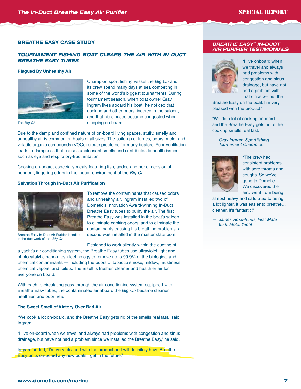#### **bReathe easy Case stUdy**

### *TOURNAMENT FISHING BOAT CLEARS THE AIR WITH IN-DUCT BREATHE EASY TUBES*

#### **Plagued By Unhealthy Air**



The *Big Oh*

Champion sport fishing vessel the *Big Oh* and its crew spend many days at sea competing in some of the world's biggest tournaments. During tournament season, when boat owner Gray Ingram lives aboard his boat, he noticed that cooking and other odors lingered in the saloon, and that his sinuses became congested when sleeping on-board.

Due to the damp and confined nature of on-board living spaces, stuffy, smelly and unhealthy air is common on boats of all sizes. The build-up of fumes, odors, mold, and volatile organic compounds (VOCs) create problems for many boaters. Poor ventilation leads to dampness that causes unpleasant smells and contributes to health issues such as eye and respiratory-tract irritation.

Cooking on-board, especially meals featuring fish, added another dimension of pungent, lingering odors to the indoor environment of the *Big Oh*.

#### **Salvation Through In-Duct Air Purification**



Breathe Easy In-Duct Air Purifier installed in the ductwork of the *Big Oh*

To remove the contaminants that caused odors and unhealthy air, Ingram installed two of Dometic's Innovation Award-winning In-Duct Breathe Easy tubes to purify the air. The first Breathe Easy was installed in the boat's saloon to eliminate cooking odors, and to eliminate the contaminants causing his breathing problems, a second was installed in the master stateroom.

Designed to work silently within the ducting of

a yacht's air conditioning system, the Breathe Easy tubes use ultraviolet light and photocatalytic nano-mesh technology to remove up to 99.9% of the biological and chemical contaminants — including the odors of tobacco smoke, mildew, mustiness, chemical vapors, and toilets. The result is fresher, cleaner and healthier air for everyone on board.

With each re-circulating pass through the air conditioning system equipped with Breathe Easy tubes, the contaminated air aboard the *Big Oh* became cleaner, healthier, and odor free.

#### **The Sweet Smell of Victory Over Bad Air**

"We cook a lot on-board, and the Breathe Easy gets rid of the smells real fast," said Ingram.

"I live on-board when we travel and always had problems with congestion and sinus drainage, but have not had a problem since we installed the Breathe Easy," he said.

Ingram added, "I'm very pleased with the product and will definitely have Breathe Easy units on-board any new boats I get in the future."

#### *BREATHE EASY™ IN-DUCT AIR PURIFIER TESTIMONIALS*



"I live onboard when we travel and always had problems with congestion and sinus drainage, but have not had a problem with that since we put the

Breathe Easy on the boat. I'm very pleased with the product."

"We do a lot of cooking onboard and the Breathe Easy gets rid of the cooking smells real fast."

*Gray Ingram, Sportfishing Tournament Champion*



"The crew had consistent problems with sore throats and coughs. So we've gone to Dometic. We discovered the air…went from being

almost heavy and saturated to being a lot lighter. It was easier to breathe… cleaner. It's fantastic."

 *— James Rose-Innes, First Mate 95 ft. Motor Yacht*